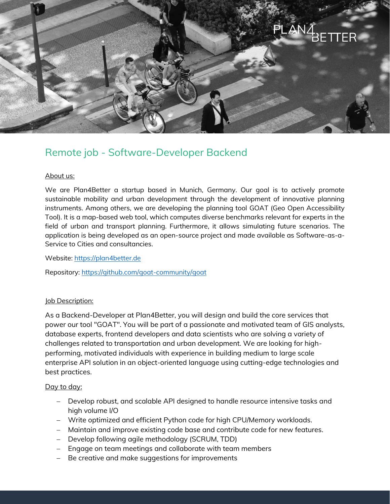

# Remote job - Software-Developer Backend

### About us:

We are Plan4Better a startup based in Munich, Germany. Our goal is to actively promote sustainable mobility and urban development through the development of innovative planning instruments. Among others, we are developing the planning tool GOAT (Geo Open Accessibility Tool). It is a map-based web tool, which computes diverse benchmarks relevant for experts in the field of urban and transport planning. Furthermore, it allows simulating future scenarios. The application is being developed as an open-source project and made available as Software-as-a-Service to Cities and consultancies.

Website: [https://plan4better.de](https://plan4better.de/)

Repository:<https://github.com/goat-community/goat>

### Job Description:

As a Backend-Developer at Plan4Better, you will design and build the core services that power our tool "GOAT". You will be part of a passionate and motivated team of GIS analysts, database experts, frontend developers and data scientists who are solving a variety of challenges related to transportation and urban development. We are looking for highperforming, motivated individuals with experience in building medium to large scale enterprise API solution in an object-oriented language using cutting-edge technologies and best practices.

### Day to day:

- Develop robust, and scalable API designed to handle resource intensive tasks and high volume I/O
- Write optimized and efficient Python code for high CPU/Memory workloads.
- Maintain and improve existing code base and contribute code for new features.
- Develop following agile methodology (SCRUM, TDD)
- Engage on team meetings and collaborate with team members
- Be creative and make suggestions for improvements